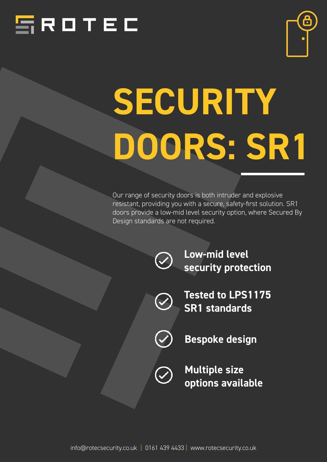



# *SECURITY DOORS: SR1*

Our range of security doors is both intruder and explosive resistant, providing you with a secure, safety-first solution. SR1 doors provide a low-mid level security option, where Secured By Design standards are not required.



*Low-mid level security protection*



*Tested to LPS1175 SR1 standards*



*Bespoke design*

*Multiple size options available*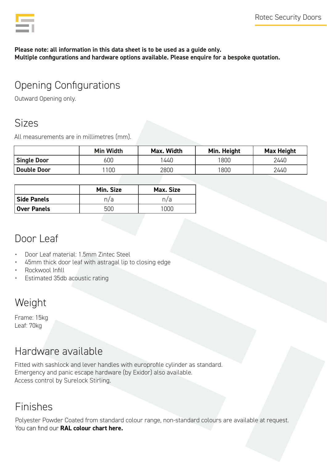*Please note: all information in this data sheet is to be used as a guide only. Multiple configurations and hardware options available. Please enquire for a bespoke quotation.*

# Opening Configurations

Outward Opening only.

#### Sizes

All measurements are in millimetres (mm).

|                    | <b>Min Width</b> | Max. Width | Min. Height    | <b>Max Height</b> |
|--------------------|------------------|------------|----------------|-------------------|
| <b>Single Door</b> | 600              | 440        | $^{\prime}800$ | 2440              |
| <b>Double Door</b> | 100              | 2800       | 800            | 2440              |

|                    | Min. Size | Max. Size |
|--------------------|-----------|-----------|
| <b>Side Panels</b> | n/a       | n/a       |
| Over Panels        |           |           |

## Door Leaf

- Door Leaf material: 1.5mm Zintec Steel
- 45mm thick door leaf with astragal lip to closing edge
- Rockwool Infill
- Estimated 35db acoustic rating

# Weight

Frame: 15kg Leaf: 70kg

# Hardware available

Fitted with sashlock and lever handles with europrofile cylinder as standard. Emergency and panic escape hardware (by Exidor) also available. Access control by Surelock Stirling.

#### Finishes

Polyester Powder Coated from standard colour range, non-standard colours are available at request. You can find our *[RAL colour chart here.](https://www.rotecsecurity.co.uk/wp-content/uploads/2021/11/RAL-Colour-Chart.pdf)*